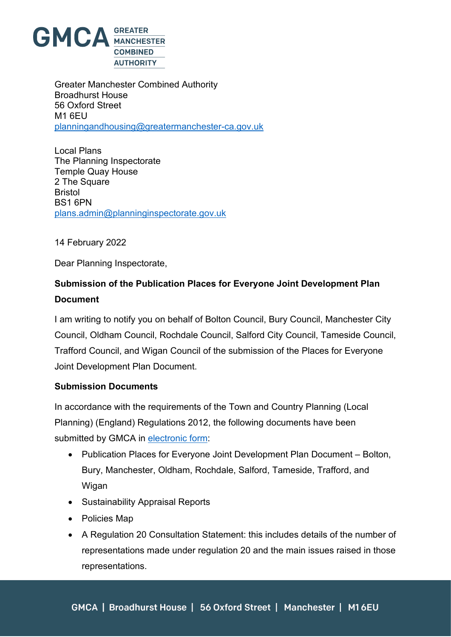

Greater Manchester Combined Authority Broadhurst House 56 Oxford Street M1 6EU [planningandhousing@greatermanchester-ca.gov.uk](mailto:planningandhousing@greatermanchester-ca.gov.uk)

Local Plans The Planning Inspectorate Temple Quay House 2 The Square Bristol BS1 6PN [plans.admin@planninginspectorate.gov.uk](mailto:plans.admin@planninginspectorate.gov.uk)

14 February 2022

Dear Planning Inspectorate,

## **Submission of the Publication Places for Everyone Joint Development Plan Document**

I am writing to notify you on behalf of Bolton Council, Bury Council, Manchester City Council, Oldham Council, Rochdale Council, Salford City Council, Tameside Council, Trafford Council, and Wigan Council of the submission of the Places for Everyone Joint Development Plan Document.

## **Submission Documents**

In accordance with the requirements of the Town and Country Planning (Local Planning) (England) Regulations 2012, the following documents have been submitted by GMCA in [electronic form:](https://www.greatermanchester-ca.gov.uk/what-we-do/planning-and-housing/places-for-everyone/submission-documents)

- Publication Places for Everyone Joint Development Plan Document Bolton, Bury, Manchester, Oldham, Rochdale, Salford, Tameside, Trafford, and **Wigan**
- Sustainability Appraisal Reports
- Policies Map
- A Regulation 20 Consultation Statement: this includes details of the number of representations made under regulation 20 and the main issues raised in those representations.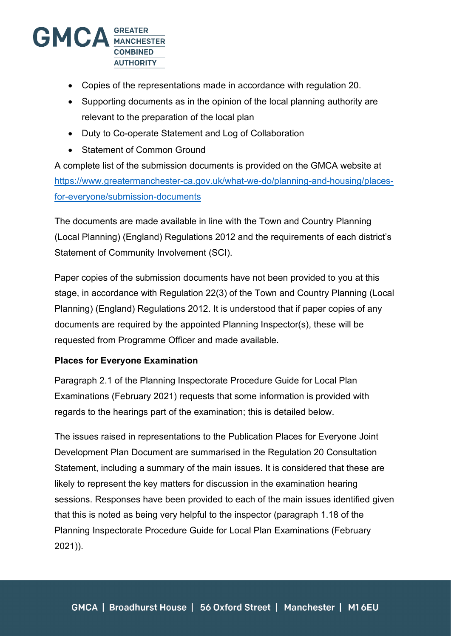

- Copies of the representations made in accordance with regulation 20.
- Supporting documents as in the opinion of the local planning authority are relevant to the preparation of the local plan
- Duty to Co-operate Statement and Log of Collaboration
- Statement of Common Ground

A complete list of the submission documents is provided on the GMCA website at [https://www.greatermanchester-ca.gov.uk/what-we-do/planning-and-housing/places](https://www.greatermanchester-ca.gov.uk/what-we-do/planning-and-housing/places-for-everyone/submission-documents)[for-everyone/submission-documents](https://www.greatermanchester-ca.gov.uk/what-we-do/planning-and-housing/places-for-everyone/submission-documents)

The documents are made available in line with the Town and Country Planning (Local Planning) (England) Regulations 2012 and the requirements of each district's Statement of Community Involvement (SCI).

Paper copies of the submission documents have not been provided to you at this stage, in accordance with Regulation 22(3) of the Town and Country Planning (Local Planning) (England) Regulations 2012. It is understood that if paper copies of any documents are required by the appointed Planning Inspector(s), these will be requested from Programme Officer and made available.

## **Places for Everyone Examination**

Paragraph 2.1 of the Planning Inspectorate Procedure Guide for Local Plan Examinations (February 2021) requests that some information is provided with regards to the hearings part of the examination; this is detailed below.

The issues raised in representations to the Publication Places for Everyone Joint Development Plan Document are summarised in the Regulation 20 Consultation Statement, including a summary of the main issues. It is considered that these are likely to represent the key matters for discussion in the examination hearing sessions. Responses have been provided to each of the main issues identified given that this is noted as being very helpful to the inspector (paragraph 1.18 of the Planning Inspectorate Procedure Guide for Local Plan Examinations (February 2021)).